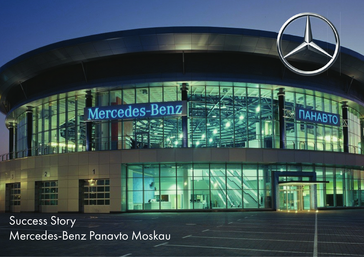Success Story Mercedes-Benz Panavto Moskau

ine.<br>Tu

lercedes-Benz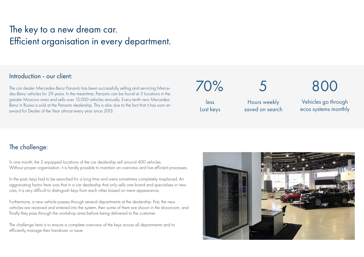# The key to a new dream car. Efficient organisation in every department.

### Introduction - our client:

The car dealer Mercedes-Benz Panavto has been successfully selling and servicing Mercedes-Benz vehicles for 29 years. In the meantime, Panavto can be found at 3 locations in the greater Moscow area and sells over 15,000 vehicles annually. Every tenth new Mercedes-Benz in Russia is sold at the Panavto dealership. This is also due to the fact that it has won an award for Dealer of the Year almost every year since 2013.

less Lost keys

70%

5

Hours weekly saved on search 800

Vehicles go through ecos systems monthly

## The challenge:

In one month, the 2 equipped locations of the car dealership sell around 400 vehicles. Without proper organisation, it is hardly possible to maintain an overview and live efficient processes.

In the past, keys had to be searched for a long time and were sometimes completely misplaced. An aggravating factor here was that in a car dealership that only sells one brand and specialises in new cars, it is very difficult to distinguish keys from each other based on mere appearance.

Furthermore, a new vehicle passes through several departments at the dealership: First, the new vehicles are received and entered into the system, then some of them are shown in the showroom, and finally they pass through the workshop area before being delivered to the customer.

The challenge here is to ensure a complete overview of the keys across all departments and to efficiently manage their handover or issue.

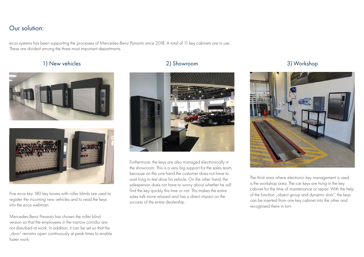# Our solution:

ecos systems has been supporting the processes of Mercedes-Benz Panavto since 2018. A total of 11 key cabinets are in use. These are divided among the three most important departments.

### 1) New vehicles 2) Showroom 3) Workshop





Five ecos key 180 key boxes with roller blinds are used to register the incoming new vehicles and to read the keys into the ecos webman.

Mercedes-Benz Panavto has chosen the roller blind version so that the employees in the narrow corridor are not disturbed at work. In addition, it can be set so that the "door" remains open continuously at peak times to enable faster work.



Furthermore, the keys are also managed electronically in the showroom. This is a very big support for the sales team, because on the one hand the customer does not have to wait long to test drive his vehicle. On the other hand, the salesperson does not have to worry about whether he will find the key quickly this time or not. This makes the entire sales talk more relaxed and has a direct impact on the success of the entire dealership.



The third area where electronic key management is used is the workshop area. The car keys are hung in the key cabinet for the time of maintenance or repair. With the help of the function "object group and dynamic slots", the keys can be inserted from one key cabinet into the other and recognised there in turn.